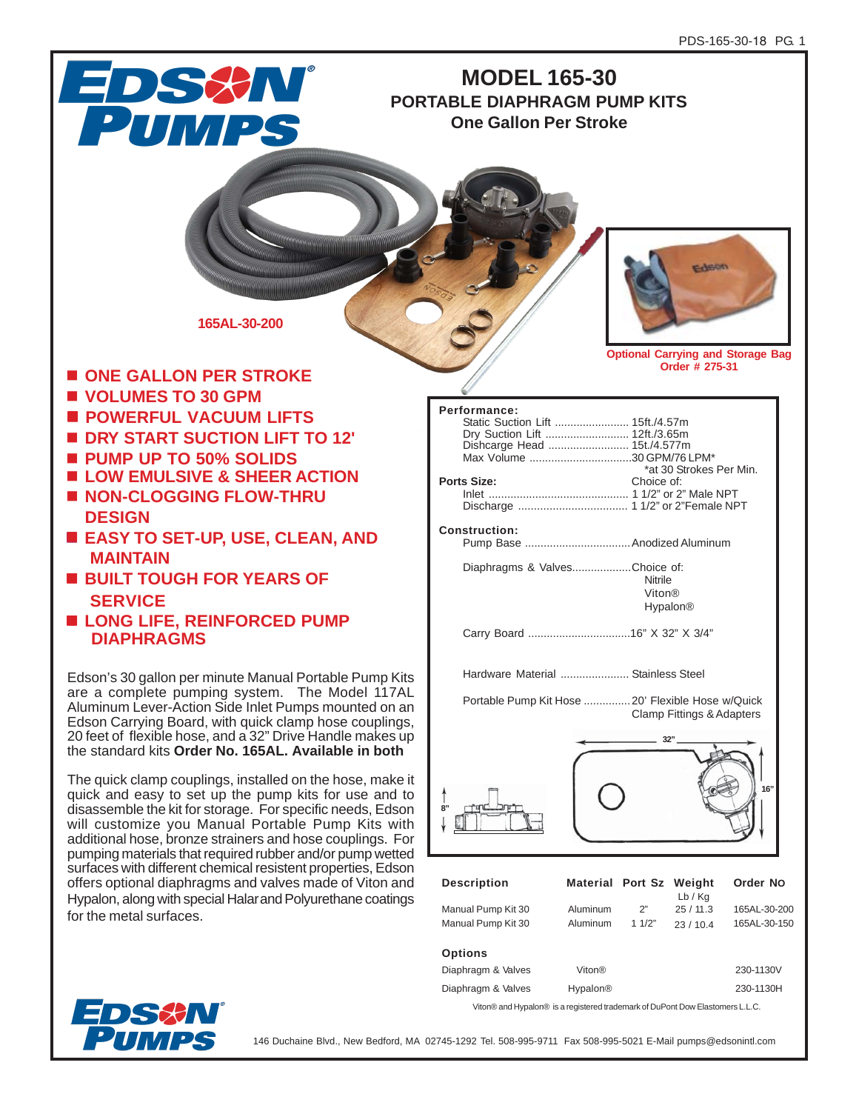

| <b>UP LIVIIJ</b>   |                    |           |
|--------------------|--------------------|-----------|
| Diaphragm & Valves | Viton <sup>®</sup> | 230-1130V |
| Diaphragm & Valves | <b>Hypalon®</b>    | 230-1130H |

Viton® and Hypalon® is a registered trademark of DuPont Dow Elastomers L.L.C.



146 Duchaine Blvd., New Bedford, MA 02745-1292 Tel. 508-995-9711 Fax 508-995-5021 E-Mail pumps@edsonintl.com